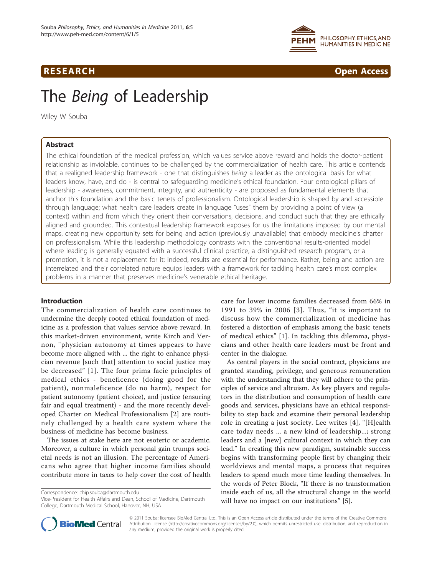

# R E S EARCH Open Access

# The Being of Leadership

Wiley W Souba

# Abstract

The ethical foundation of the medical profession, which values service above reward and holds the doctor-patient relationship as inviolable, continues to be challenged by the commercialization of health care. This article contends that a realigned leadership framework - one that distinguishes being a leader as the ontological basis for what leaders know, have, and do - is central to safeguarding medicine's ethical foundation. Four ontological pillars of leadership - awareness, commitment, integrity, and authenticity - are proposed as fundamental elements that anchor this foundation and the basic tenets of professionalism. Ontological leadership is shaped by and accessible through language; what health care leaders create in language "uses" them by providing a point of view (a context) within and from which they orient their conversations, decisions, and conduct such that they are ethically aligned and grounded. This contextual leadership framework exposes for us the limitations imposed by our mental maps, creating new opportunity sets for being and action (previously unavailable) that embody medicine's charter on professionalism. While this leadership methodology contrasts with the conventional results-oriented model where leading is generally equated with a successful clinical practice, a distinguished research program, or a promotion, it is not a replacement for it; indeed, results are essential for performance. Rather, being and action are interrelated and their correlated nature equips leaders with a framework for tackling health care's most complex problems in a manner that preserves medicine's venerable ethical heritage.

## Introduction

The commercialization of health care continues to undermine the deeply rooted ethical foundation of medicine as a profession that values service above reward. In this market-driven environment, write Kirch and Vernon, "physician autonomy at times appears to have become more aligned with ... the right to enhance physician revenue [such that] attention to social justice may be decreased" [\[1\]](#page-9-0). The four prima facie principles of medical ethics - beneficence (doing good for the patient), nonmaleficence (do no harm), respect for patient autonomy (patient choice), and justice (ensuring fair and equal treatment) - and the more recently developed Charter on Medical Professionalism [[2\]](#page-9-0) are routinely challenged by a health care system where the business of medicine has become business.

The issues at stake here are not esoteric or academic. Moreover, a culture in which personal gain trumps societal needs is not an illusion. The percentage of Americans who agree that higher income families should contribute more in taxes to help cover the cost of health

Correspondence: [chip.souba@dartmouth.edu](mailto:chip.souba@dartmouth.edu)

Vice-President for Health Affairs and Dean, School of Medicine, Dartmouth College, Dartmouth Medical School, Hanover, NH, USA

care for lower income families decreased from 66% in 1991 to 39% in 2006 [[3\]](#page-9-0). Thus, "it is important to discuss how the commercialization of medicine has fostered a distortion of emphasis among the basic tenets of medical ethics" [[1](#page-9-0)]. In tackling this dilemma, physicians and other health care leaders must be front and center in the dialogue.

As central players in the social contract, physicians are granted standing, privilege, and generous remuneration with the understanding that they will adhere to the principles of service and altruism. As key players and regulators in the distribution and consumption of health care goods and services, physicians have an ethical responsibility to step back and examine their personal leadership role in creating a just society. Lee writes [[4\]](#page-9-0), "[H]ealth care today needs ... a new kind of leadership...; strong leaders and a [new] cultural context in which they can lead." In creating this new paradigm, sustainable success begins with transforming people first by changing their worldviews and mental maps, a process that requires leaders to spend much more time leading themselves. In the words of Peter Block, "If there is no transformation inside each of us, all the structural change in the world will have no impact on our institutions" [[5\]](#page-9-0).



© 2011 Souba; licensee BioMed Central Ltd. This is an Open Access article distributed under the terms of the Creative Commons Attribution License [\(http://creativecommons.org/licenses/by/2.0](http://creativecommons.org/licenses/by/2.0)), which permits unrestricted use, distribution, and reproduction in any medium, provided the original work is properly cited.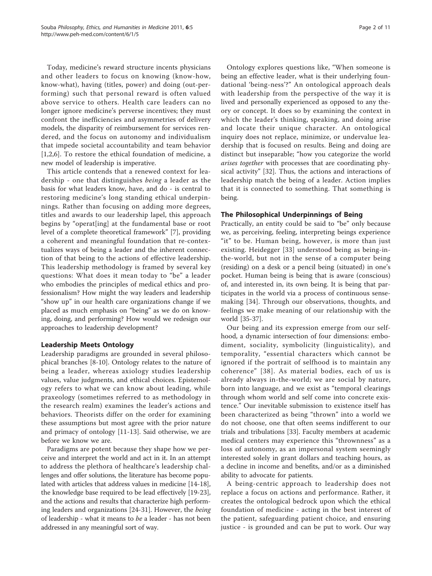Today, medicine's reward structure incents physicians and other leaders to focus on knowing (know-how, know-what), having (titles, power) and doing (out-performing) such that personal reward is often valued above service to others. Health care leaders can no longer ignore medicine's perverse incentives; they must confront the inefficiencies and asymmetries of delivery models, the disparity of reimbursement for services rendered, and the focus on autonomy and individualism that impede societal accountability and team behavior [[1,2,6](#page-9-0)]. To restore the ethical foundation of medicine, a new model of leadership is imperative.

This article contends that a renewed context for leadership - one that distinguishes being a leader as the basis for what leaders know, have, and do - is central to restoring medicine's long standing ethical underpinnings. Rather than focusing on adding more degrees, titles and awards to our leadership lapel, this approach begins by "operat[ing] at the fundamental base or root level of a complete theoretical framework" [\[7](#page-9-0)], providing a coherent and meaningful foundation that re-contextualizes ways of being a leader and the inherent connection of that being to the actions of effective leadership. This leadership methodology is framed by several key questions: What does it mean today to "be" a leader who embodies the principles of medical ethics and professionalism? How might the way leaders and leadership "show up" in our health care organizations change if we placed as much emphasis on "being" as we do on knowing, doing, and performing? How would we redesign our approaches to leadership development?

## Leadership Meets Ontology

Leadership paradigms are grounded in several philosophical branches [\[8](#page-9-0)-[10\]](#page-9-0). Ontology relates to the nature of being a leader, whereas axiology studies leadership values, value judgments, and ethical choices. Epistemology refers to what we can know about leading, while praxeology (sometimes referred to as methodology in the research realm) examines the leader's actions and behaviors. Theorists differ on the order for examining these assumptions but most agree with the prior nature and primacy of ontology [\[11](#page-9-0)-[13\]](#page-9-0). Said otherwise, we are before we know we are.

Paradigms are potent because they shape how we perceive and interpret the world and act in it. In an attempt to address the plethora of healthcare's leadership challenges and offer solutions, the literature has become populated with articles that address values in medicine [\[14](#page-9-0)-[18](#page-9-0)], the knowledge base required to be lead effectively [\[19](#page-9-0)-[23](#page-9-0)], and the actions and results that characterize high performing leaders and organizations [\[24](#page-9-0)-[31](#page-9-0)]. However, the being of leadership - what it means to be a leader - has not been addressed in any meaningful sort of way.

Ontology explores questions like, "When someone is being an effective leader, what is their underlying foundational 'being-ness'?" An ontological approach deals with leadership from the perspective of the way it is lived and personally experienced as opposed to any theory or concept. It does so by examining the context in which the leader's thinking, speaking, and doing arise and locate their unique character. An ontological inquiry does not replace, minimize, or undervalue leadership that is focused on results. Being and doing are distinct but inseparable; "how you categorize the world arises together with processes that are coordinating physical activity" [[32\]](#page-9-0). Thus, the actions and interactions of leadership match the being of a leader. Action implies that it is connected to something. That something is being.

## The Philosophical Underpinnings of Being

Practically, an entity could be said to "be" only because we, as perceiving, feeling, interpreting beings experience "it" to be. Human being, however, is more than just existing. Heidegger [[33](#page-9-0)] understood being as being-inthe-world, but not in the sense of a computer being (residing) on a desk or a pencil being (situated) in one's pocket. Human being is being that is aware (conscious) of, and interested in, its own being. It is being that participates in the world via a process of continuous sensemaking [[34\]](#page-9-0). Through our observations, thoughts, and feelings we make meaning of our relationship with the world [\[35](#page-9-0)-[37\]](#page-9-0).

Our being and its expression emerge from our selfhood, a dynamic intersection of four dimensions: embodiment, sociality, symbolicity (linguisticality), and temporality, "essential characters which cannot be ignored if the portrait of selfhood is to maintain any coherence" [[38](#page-9-0)]. As material bodies, each of us is already always in-the-world; we are social by nature, born into language, and we exist as "temporal clearings through whom world and self come into concrete existence." Our inevitable submission to existence itself has been characterized as being "thrown" into a world we do not choose, one that often seems indifferent to our trials and tribulations [[33\]](#page-9-0). Faculty members at academic medical centers may experience this "thrownness" as a loss of autonomy, as an impersonal system seemingly interested solely in grant dollars and teaching hours, as a decline in income and benefits, and/or as a diminished ability to advocate for patients.

A being-centric approach to leadership does not replace a focus on actions and performance. Rather, it creates the ontological bedrock upon which the ethical foundation of medicine - acting in the best interest of the patient, safeguarding patient choice, and ensuring justice - is grounded and can be put to work. Our way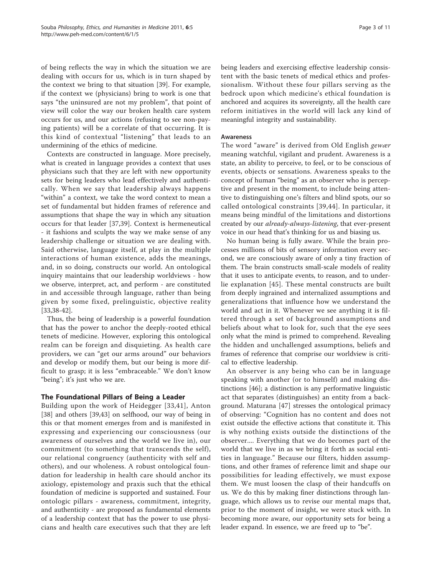of being reflects the way in which the situation we are dealing with occurs for us, which is in turn shaped by the context we bring to that situation [[39\]](#page-9-0). For example, if the context we (physicians) bring to work is one that says "the uninsured are not my problem", that point of view will color the way our broken health care system occurs for us, and our actions (refusing to see non-paying patients) will be a correlate of that occurring. It is this kind of contextual "listening" that leads to an undermining of the ethics of medicine.

Contexts are constructed in language. More precisely, what is created in language provides a context that uses physicians such that they are left with new opportunity sets for being leaders who lead effectively and authentically. When we say that leadership always happens "within" a context, we take the word context to mean a set of fundamental but hidden frames of reference and assumptions that shape the way in which any situation occurs for that leader [[37,39](#page-9-0)]. Context is hermeneutical - it fashions and sculpts the way we make sense of any leadership challenge or situation we are dealing with. Said otherwise, language itself, at play in the multiple interactions of human existence, adds the meanings, and, in so doing, constructs our world. An ontological inquiry maintains that our leadership worldviews - how we observe, interpret, act, and perform - are constituted in and accessible through language, rather than being given by some fixed, prelinguistic, objective reality [[33,38-42\]](#page-9-0).

Thus, the being of leadership is a powerful foundation that has the power to anchor the deeply-rooted ethical tenets of medicine. However, exploring this ontological realm can be foreign and disquieting. As health care providers, we can "get our arms around" our behaviors and develop or modify them, but our being is more difficult to grasp; it is less "embraceable." We don't know "being"; it's just who we are.

# The Foundational Pillars of Being a Leader

Building upon the work of Heidegger [[33,41\]](#page-9-0), Anton [[38\]](#page-9-0) and others [[39,43\]](#page-9-0) on selfhood, our way of being in this or that moment emerges from and is manifested in expressing and experiencing our consciousness (our awareness of ourselves and the world we live in), our commitment (to something that transcends the self), our relational congruency (authenticity with self and others), and our wholeness. A robust ontological foundation for leadership in health care should anchor its axiology, epistemology and praxis such that the ethical foundation of medicine is supported and sustained. Four ontologic pillars - awareness, commitment, integrity, and authenticity - are proposed as fundamental elements of a leadership context that has the power to use physicians and health care executives such that they are left being leaders and exercising effective leadership consistent with the basic tenets of medical ethics and professionalism. Without these four pillars serving as the bedrock upon which medicine's ethical foundation is anchored and acquires its sovereignty, all the health care reform initiatives in the world will lack any kind of meaningful integrity and sustainability.

#### Awareness

The word "aware" is derived from Old English gewær meaning watchful, vigilant and prudent. Awareness is a state, an ability to perceive, to feel, or to be conscious of events, objects or sensations. Awareness speaks to the concept of human "being" as an observer who is perceptive and present in the moment, to include being attentive to distinguishing one's filters and blind spots, our so called ontological constraints [[39](#page-9-0),[44\]](#page-9-0). In particular, it means being mindful of the limitations and distortions created by our already-always-listening, that ever-present voice in our head that's thinking for us and biasing us.

No human being is fully aware. While the brain processes millions of bits of sensory information every second, we are consciously aware of only a tiny fraction of them. The brain constructs small-scale models of reality that it uses to anticipate events, to reason, and to underlie explanation [\[45\]](#page-10-0). These mental constructs are built from deeply ingrained and internalized assumptions and generalizations that influence how we understand the world and act in it. Whenever we see anything it is filtered through a set of background assumptions and beliefs about what to look for, such that the eye sees only what the mind is primed to comprehend. Revealing the hidden and unchallenged assumptions, beliefs and frames of reference that comprise our worldview is critical to effective leadership.

An observer is any being who can be in language speaking with another (or to himself) and making distinctions [[46](#page-10-0)]; a distinction is any performative linguistic act that separates (distinguishes) an entity from a background. Maturana [[47\]](#page-10-0) stresses the ontological primacy of observing: "Cognition has no content and does not exist outside the effective actions that constitute it. This is why nothing exists outside the distinctions of the observer.... Everything that we do becomes part of the world that we live in as we bring it forth as social entities in language." Because our filters, hidden assumptions, and other frames of reference limit and shape our possibilities for leading effectively, we must expose them. We must loosen the clasp of their handcuffs on us. We do this by making finer distinctions through language, which allows us to revise our mental maps that, prior to the moment of insight, we were stuck with. In becoming more aware, our opportunity sets for being a leader expand. In essence, we are freed up to "be".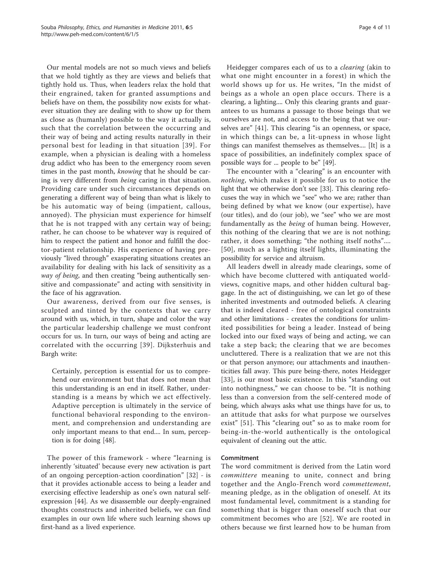Our mental models are not so much views and beliefs that we hold tightly as they are views and beliefs that tightly hold us. Thus, when leaders relax the hold that their engrained, taken for granted assumptions and beliefs have on them, the possibility now exists for whatever situation they are dealing with to show up for them as close as (humanly) possible to the way it actually is, such that the correlation between the occurring and their way of being and acting results naturally in their personal best for leading in that situation [[39\]](#page-9-0). For example, when a physician is dealing with a homeless drug addict who has been to the emergency room seven times in the past month, knowing that he should be caring is very different from being caring in that situation. Providing care under such circumstances depends on generating a different way of being than what is likely to be his automatic way of being (impatient, callous, annoyed). The physician must experience for himself that he is not trapped with any certain way of being; rather, he can choose to be whatever way is required of him to respect the patient and honor and fulfill the doctor-patient relationship. His experience of having previously "lived through" exasperating situations creates an availability for dealing with his lack of sensitivity as a way of being, and then creating "being authentically sensitive and compassionate" and acting with sensitivity in the face of his aggravation.

Our awareness, derived from our five senses, is sculpted and tinted by the contexts that we carry around with us, which, in turn, shape and color the way the particular leadership challenge we must confront occurs for us. In turn, our ways of being and acting are correlated with the occurring [[39](#page-9-0)]. Dijksterhuis and Bargh write:

Certainly, perception is essential for us to comprehend our environment but that does not mean that this understanding is an end in itself. Rather, understanding is a means by which we act effectively. Adaptive perception is ultimately in the service of functional behavioral responding to the environment, and comprehension and understanding are only important means to that end.... In sum, perception is for doing [[48](#page-10-0)].

The power of this framework - where "learning is inherently 'situated' because every new activation is part of an ongoing perception-action coordination" [\[32](#page-9-0)] - is that it provides actionable access to being a leader and exercising effective leadership as one's own natural selfexpression [[44\]](#page-9-0). As we disassemble our deeply-engrained thoughts constructs and inherited beliefs, we can find examples in our own life where such learning shows up first-hand as a lived experience.

Heidegger compares each of us to a clearing (akin to what one might encounter in a forest) in which the world shows up for us. He writes, "In the midst of beings as a whole an open place occurs. There is a clearing, a lighting.... Only this clearing grants and guarantees to us humans a passage to those beings that we ourselves are not, and access to the being that we ourselves are" [[41\]](#page-9-0). This clearing "is an openness, or space, in which things can be, a lit-upness in whose light things can manifest themselves as themselves.... [It] is a space of possibilities, an indefinitely complex space of possible ways for ... people to be" [\[49](#page-10-0)].

The encounter with a "clearing" is an encounter with nothing, which makes it possible for us to notice the light that we otherwise don't see [\[33](#page-9-0)]. This clearing refocuses the way in which we "see" who we are; rather than being defined by what we know (our expertise), have (our titles), and do (our job), we "see" who we are most fundamentally as the being of human being. However, this nothing of the clearing that we are is not nothing; rather, it does something; "the nothing itself noths".... [[50\]](#page-10-0), much as a lighting itself lights, illuminating the possibility for service and altruism.

All leaders dwell in already made clearings, some of which have become cluttered with antiquated worldviews, cognitive maps, and other hidden cultural baggage. In the act of distinguishing, we can let go of these inherited investments and outmoded beliefs. A clearing that is indeed cleared - free of ontological constraints and other limitations - creates the conditions for unlimited possibilities for being a leader. Instead of being locked into our fixed ways of being and acting, we can take a step back; the clearing that we are becomes uncluttered. There is a realization that we are not this or that person anymore; our attachments and inauthenticities fall away. This pure being-there, notes Heidegger [[33](#page-9-0)], is our most basic existence. In this "standing out into nothingness," we can choose to be. "It is nothing less than a conversion from the self-centered mode of being, which always asks what use things have for us, to an attitude that asks for what purpose we ourselves exist" [[51\]](#page-10-0). This "clearing out" so as to make room for being-in-the-world authentically is the ontological equivalent of cleaning out the attic.

## Commitment

The word commitment is derived from the Latin word committere meaning to unite, connect and bring together and the Anglo-French word commettement, meaning pledge, as in the obligation of oneself. At its most fundamental level, commitment is a standing for something that is bigger than oneself such that our commitment becomes who are [[52\]](#page-10-0). We are rooted in others because we first learned how to be human from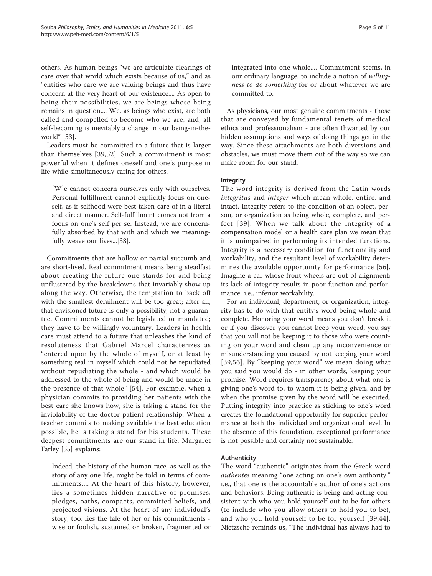others. As human beings "we are articulate clearings of care over that world which exists because of us," and as "entities who care we are valuing beings and thus have concern at the very heart of our existence.... As open to being-their-possibilities, we are beings whose being remains in question.... We, as beings who exist, are both called and compelled to become who we are, and, all self-becoming is inevitably a change in our being-in-theworld" [[53\]](#page-10-0).

Leaders must be committed to a future that is larger than themselves [[39](#page-9-0),[52](#page-10-0)]. Such a commitment is most powerful when it defines oneself and one's purpose in life while simultaneously caring for others.

[W]e cannot concern ourselves only with ourselves. Personal fulfillment cannot explicitly focus on oneself, as if selfhood were best taken care of in a literal and direct manner. Self-fulfillment comes not from a focus on one's self per se. Instead, we are concernfully absorbed by that with and which we meaningfully weave our lives...[[38](#page-9-0)].

Commitments that are hollow or partial succumb and are short-lived. Real commitment means being steadfast about creating the future one stands for and being unflustered by the breakdowns that invariably show up along the way. Otherwise, the temptation to back off with the smallest derailment will be too great; after all, that envisioned future is only a possibility, not a guarantee. Commitments cannot be legislated or mandated; they have to be willingly voluntary. Leaders in health care must attend to a future that unleashes the kind of resoluteness that Gabriel Marcel characterizes as "entered upon by the whole of myself, or at least by something real in myself which could not be repudiated without repudiating the whole - and which would be addressed to the whole of being and would be made in the presence of that whole" [[54\]](#page-10-0). For example, when a physician commits to providing her patients with the best care she knows how, she is taking a stand for the inviolability of the doctor-patient relationship. When a teacher commits to making available the best education possible, he is taking a stand for his students. These deepest commitments are our stand in life. Margaret Farley [\[55](#page-10-0)] explains:

Indeed, the history of the human race, as well as the story of any one life, might be told in terms of commitments.... At the heart of this history, however, lies a sometimes hidden narrative of promises, pledges, oaths, compacts, committed beliefs, and projected visions. At the heart of any individual's story, too, lies the tale of her or his commitments wise or foolish, sustained or broken, fragmented or integrated into one whole.... Commitment seems, in our ordinary language, to include a notion of willingness to do something for or about whatever we are committed to.

As physicians, our most genuine commitments - those that are conveyed by fundamental tenets of medical ethics and professionalism - are often thwarted by our hidden assumptions and ways of doing things get in the way. Since these attachments are both diversions and obstacles, we must move them out of the way so we can make room for our stand.

#### Integrity

The word integrity is derived from the Latin words integritas and integer which mean whole, entire, and intact. Integrity refers to the condition of an object, person, or organization as being whole, complete, and perfect [[39](#page-9-0)]. When we talk about the integrity of a compensation model or a health care plan we mean that it is unimpaired in performing its intended functions. Integrity is a necessary condition for functionality and workability, and the resultant level of workability determines the available opportunity for performance [[56\]](#page-10-0). Imagine a car whose front wheels are out of alignment; its lack of integrity results in poor function and performance, i.e., inferior workability.

For an individual, department, or organization, integrity has to do with that entity's word being whole and complete. Honoring your word means you don't break it or if you discover you cannot keep your word, you say that you will not be keeping it to those who were counting on your word and clean up any inconvenience or misunderstanding you caused by not keeping your word [[39,](#page-9-0)[56](#page-10-0)]. By "keeping your word" we mean doing what you said you would do - in other words, keeping your promise. Word requires transparency about what one is giving one's word to, to whom it is being given, and by when the promise given by the word will be executed. Putting integrity into practice as sticking to one's word creates the foundational opportunity for superior performance at both the individual and organizational level. In the absence of this foundation, exceptional performance is not possible and certainly not sustainable.

#### Authenticity

The word "authentic" originates from the Greek word authentes meaning "one acting on one's own authority," i.e., that one is the accountable author of one's actions and behaviors. Being authentic is being and acting consistent with who you hold yourself out to be for others (to include who you allow others to hold you to be), and who you hold yourself to be for yourself [[39](#page-9-0),[44](#page-9-0)]. Nietzsche reminds us, "The individual has always had to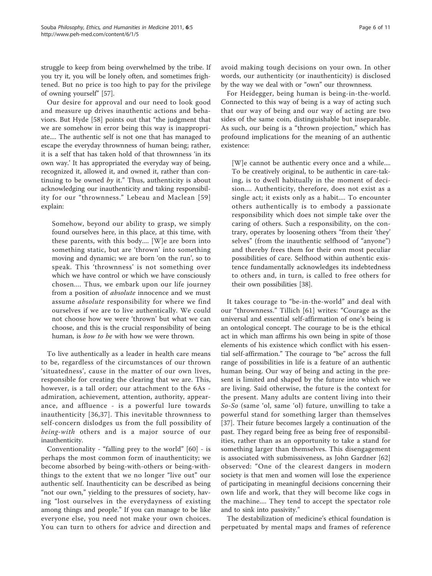struggle to keep from being overwhelmed by the tribe. If you try it, you will be lonely often, and sometimes frightened. But no price is too high to pay for the privilege of owning yourself" [[57\]](#page-10-0).

Our desire for approval and our need to look good and measure up drives inauthentic actions and behaviors. But Hyde [[58\]](#page-10-0) points out that "the judgment that we are somehow in error being this way is inappropriate.... The authentic self is not one that has managed to escape the everyday thrownness of human being; rather, it is a self that has taken hold of that thrownness 'in its own way.' It has appropriated the everyday way of being, recognized it, allowed it, and owned it, rather than continuing to be owned by it." Thus, authenticity is about acknowledging our inauthenticity and taking responsibility for our "thrownness." Lebeau and Maclean [[59](#page-10-0)] explain:

Somehow, beyond our ability to grasp, we simply found ourselves here, in this place, at this time, with these parents, with this body.... [W]e are born into something static, but are 'thrown' into something moving and dynamic; we are born 'on the run', so to speak. This 'thrownness' is not something over which we have control or which we have consciously chosen.... Thus, we embark upon our life journey from a position of *absolute* innocence and we must assume absolute responsibility for where we find ourselves if we are to live authentically. We could not choose how we were 'thrown' but what we can choose, and this is the crucial responsibility of being human, is how to be with how we were thrown.

To live authentically as a leader in health care means to be, regardless of the circumstances of our thrown 'situatedness', cause in the matter of our own lives, responsible for creating the clearing that we are. This, however, is a tall order; our attachment to the 6As admiration, achievement, attention, authority, appearance, and affluence - is a powerful lure towards inauthenticity [[36,37\]](#page-9-0). This inevitable thrownness to self-concern dislodges us from the full possibility of being-with others and is a major source of our inauthenticity.

Conventionality - "falling prey to the world" [[60](#page-10-0)] - is perhaps the most common form of inauthenticity; we become absorbed by being-with-others or being-withthings to the extent that we no longer "live out" our authentic self. Inauthenticity can be described as being "not our own," yielding to the pressures of society, having "lost ourselves in the everydayness of existing among things and people." If you can manage to be like everyone else, you need not make your own choices. You can turn to others for advice and direction and

For Heidegger, being human is being-in-the-world. Connected to this way of being is a way of acting such that our way of being and our way of acting are two sides of the same coin, distinguishable but inseparable. As such, our being is a "thrown projection," which has profound implications for the meaning of an authentic existence:

[W]e cannot be authentic every once and a while.... To be creatively original, to be authentic in care-taking, is to dwell habitually in the moment of decision.... Authenticity, therefore, does not exist as a single act; it exists only as a habit.... To encounter others authentically is to embody a passionate responsibility which does not simple take over the caring of others. Such a responsibility, on the contrary, operates by loosening others "from their 'they' selves" (from the inauthentic selfhood of "anyone") and thereby frees them for their own most peculiar possibilities of care. Selfhood within authentic existence fundamentally acknowledges its indebtedness to others and, in turn, is called to free others for their own possibilities [[38\]](#page-9-0).

It takes courage to "be-in-the-world" and deal with our "thrownness." Tillich [[61](#page-10-0)] writes: "Courage as the universal and essential self-affirmation of one's being is an ontological concept. The courage to be is the ethical act in which man affirms his own being in spite of those elements of his existence which conflict with his essential self-affirmation." The courage to "be" across the full range of possibilities in life is a feature of an authentic human being. Our way of being and acting in the present is limited and shaped by the future into which we are living. Said otherwise, the future is the context for the present. Many adults are content living into their So-So (same 'ol, same 'ol) future, unwilling to take a powerful stand for something larger than themselves [[37\]](#page-9-0). Their future becomes largely a continuation of the past. They regard being free as being free of responsibilities, rather than as an opportunity to take a stand for something larger than themselves. This disengagement is associated with submissiveness, as John Gardner [\[62](#page-10-0)] observed: "One of the clearest dangers in modern society is that men and women will lose the experience of participating in meaningful decisions concerning their own life and work, that they will become like cogs in the machine.... They tend to accept the spectator role and to sink into passivity."

The destabilization of medicine's ethical foundation is perpetuated by mental maps and frames of reference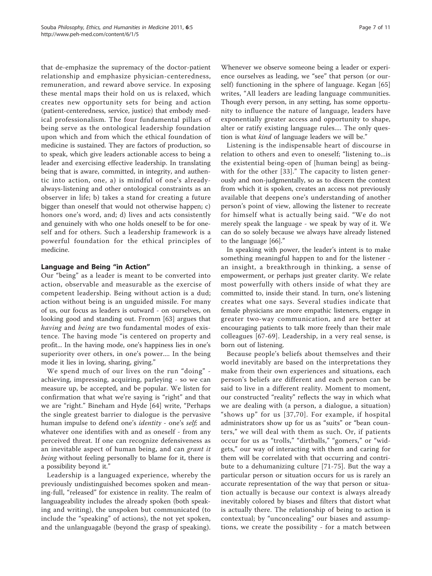that de-emphasize the supremacy of the doctor-patient relationship and emphasize physician-centeredness, remuneration, and reward above service. In exposing these mental maps their hold on us is relaxed, which creates new opportunity sets for being and action (patient-centeredness, service, justice) that embody medical professionalism. The four fundamental pillars of being serve as the ontological leadership foundation upon which and from which the ethical foundation of medicine is sustained. They are factors of production, so to speak, which give leaders actionable access to being a leader and exercising effective leadership. In translating being that is aware, committed, in integrity, and authentic into action, one, a) is mindful of one's alreadyalways-listening and other ontological constraints as an observer in life; b) takes a stand for creating a future bigger than oneself that would not otherwise happen; c) honors one's word, and; d) lives and acts consistently and genuinely with who one holds oneself to be for oneself and for others. Such a leadership framework is a powerful foundation for the ethical principles of medicine.

## Language and Being "in Action"

Our "being" as a leader is meant to be converted into action, observable and measurable as the exercise of competent leadership. Being without action is a dud; action without being is an unguided missile. For many of us, our focus as leaders is outward - on ourselves, on looking good and standing out. Fromm [[63\]](#page-10-0) argues that having and being are two fundamental modes of existence. The having mode "is centered on property and profit... In the having mode, one's happiness lies in one's superiority over others, in one's power.... In the being mode it lies in loving, sharing, giving."

We spend much of our lives on the run "doing" achieving, impressing, acquiring, parleying - so we can measure up, be accepted, and be popular. We listen for confirmation that what we're saying is "right" and that we are "right." Bineham and Hyde [[64\]](#page-10-0) write, "Perhaps the single greatest barrier to dialogue is the pervasive human impulse to defend one's identity - one's self; and whatever one identifies with and as oneself - from any perceived threat. If one can recognize defensiveness as an inevitable aspect of human being, and can grant it being without feeling personally to blame for it, there is a possibility beyond it."

Leadership is a languaged experience, whereby the previously undistinguished becomes spoken and meaning-full, "released" for existence in reality. The realm of languageability includes the already spoken (both speaking and writing), the unspoken but communicated (to include the "speaking" of actions), the not yet spoken, and the unlanguagable (beyond the grasp of speaking).

Whenever we observe someone being a leader or experience ourselves as leading, we "see" that person (or ourself) functioning in the sphere of language. Kegan [\[65](#page-10-0)] writes, "All leaders are leading language communities. Though every person, in any setting, has some opportunity to influence the nature of language, leaders have exponentially greater access and opportunity to shape, alter or ratify existing language rules.... The only question is what *kind* of language leaders we will be."

Listening is the indispensable heart of discourse in relation to others and even to oneself; "listening to...is the existential being-open of [human being] as beingwith for the other [[33](#page-9-0)]." The capacity to listen generously and non-judgmentally, so as to discern the context from which it is spoken, creates an access not previously available that deepens one's understanding of another person's point of view, allowing the listener to recreate for himself what is actually being said. "We do not merely speak the language - we speak by way of it. We can do so solely because we always have already listened to the language [\[66](#page-10-0)]."

In speaking with power, the leader's intent is to make something meaningful happen to and for the listener an insight, a breakthrough in thinking, a sense of empowerment, or perhaps just greater clarity. We relate most powerfully with others inside of what they are committed to, inside their stand. In turn, one's listening creates what one says. Several studies indicate that female physicians are more empathic listeners, engage in greater two-way communication, and are better at encouraging patients to talk more freely than their male colleagues [[67-69\]](#page-10-0). Leadership, in a very real sense, is born out of listening.

Because people's beliefs about themselves and their world inevitably are based on the interpretations they make from their own experiences and situations, each person's beliefs are different and each person can be said to live in a different reality. Moment to moment, our constructed "reality" reflects the way in which what we are dealing with (a person, a dialogue, a situation) "shows up" for us [[37,](#page-9-0)[70\]](#page-10-0). For example, if hospital administrators show up for us as "suits" or "bean counters," we will deal with them as such. Or, if patients occur for us as "trolls," "dirtballs," "gomers," or "widgets," our way of interacting with them and caring for them will be correlated with that occurring and contribute to a dehumanizing culture [[71-75\]](#page-10-0). But the way a particular person or situation occurs for us is rarely an accurate representation of the way that person or situation actually is because our context is always already inevitably colored by biases and filters that distort what is actually there. The relationship of being to action is contextual; by "unconcealing" our biases and assumptions, we create the possibility - for a match between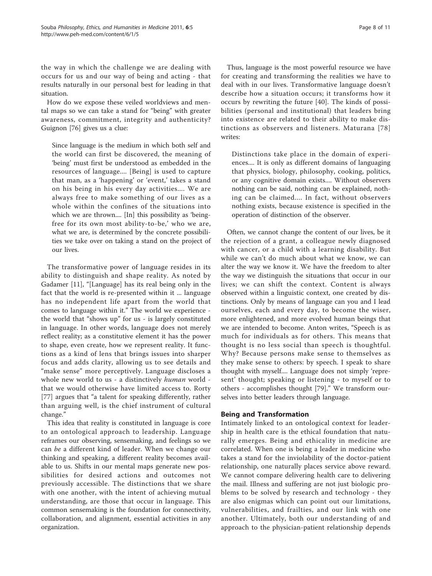the way in which the challenge we are dealing with occurs for us and our way of being and acting - that results naturally in our personal best for leading in that situation.

How do we expose these veiled worldviews and mental maps so we can take a stand for "being" with greater awareness, commitment, integrity and authenticity? Guignon [[76](#page-10-0)] gives us a clue:

Since language is the medium in which both self and the world can first be discovered, the meaning of 'being' must first be understood as embedded in the resources of language.... [Being] is used to capture that man, as a 'happening' or 'event,' takes a stand on his being in his every day activities.... We are always free to make something of our lives as a whole within the confines of the situations into which we are thrown.... [In] this possibility as 'beingfree for its own most ability-to-be,' who we are, what we are, is determined by the concrete possibilities we take over on taking a stand on the project of our lives.

The transformative power of language resides in its ability to distinguish and shape reality. As noted by Gadamer [[11\]](#page-9-0), "[Language] has its real being only in the fact that the world is re-presented within it ... language has no independent life apart from the world that comes to language within it." The world we experience the world that "shows up" for us - is largely constituted in language. In other words, language does not merely reflect reality; as a constitutive element it has the power to shape, even create, how we represent reality. It functions as a kind of lens that brings issues into sharper focus and adds clarity, allowing us to see details and "make sense" more perceptively. Language discloses a whole new world to us - a distinctively human world that we would otherwise have limited access to. Rorty [[77\]](#page-10-0) argues that "a talent for speaking differently, rather than arguing well, is the chief instrument of cultural change."

This idea that reality is constituted in language is core to an ontological approach to leadership. Language reframes our observing, sensemaking, and feelings so we can be a different kind of leader. When we change our thinking and speaking, a different reality becomes available to us. Shifts in our mental maps generate new possibilities for desired actions and outcomes not previously accessible. The distinctions that we share with one another, with the intent of achieving mutual understanding, are those that occur in language. This common sensemaking is the foundation for connectivity, collaboration, and alignment, essential activities in any organization.

Thus, language is the most powerful resource we have for creating and transforming the realities we have to deal with in our lives. Transformative language doesn't describe how a situation occurs; it transforms how it occurs by rewriting the future [[40](#page-9-0)]. The kinds of possibilities (personal and institutional) that leaders bring into existence are related to their ability to make distinctions as observers and listeners. Maturana [[78](#page-10-0)] writes:

Distinctions take place in the domain of experiences.... It is only as different domains of languaging that physics, biology, philosophy, cooking, politics, or any cognitive domain exists.... Without observers nothing can be said, nothing can be explained, nothing can be claimed.... In fact, without observers nothing exists, because existence is specified in the operation of distinction of the observer.

Often, we cannot change the content of our lives, be it the rejection of a grant, a colleague newly diagnosed with cancer, or a child with a learning disability. But while we can't do much about what we know, we can alter the way we know it. We have the freedom to alter the way we distinguish the situations that occur in our lives; we can shift the context. Content is always observed within a linguistic context, one created by distinctions. Only by means of language can you and I lead ourselves, each and every day, to become the wiser, more enlightened, and more evolved human beings that we are intended to become. Anton writes, "Speech is as much for individuals as for others. This means that thought is no less social than speech is thoughtful. Why? Because persons make sense to themselves as they make sense to others: by speech. I speak to share thought with myself.... Language does not simply 'represent' thought; speaking or listening - to myself or to others - accomplishes thought [\[79](#page-10-0)]." We transform ourselves into better leaders through language.

# Being and Transformation

Intimately linked to an ontological context for leadership in health care is the ethical foundation that naturally emerges. Being and ethicality in medicine are correlated. When one is being a leader in medicine who takes a stand for the inviolability of the doctor-patient relationship, one naturally places service above reward. We cannot compare delivering health care to delivering the mail. Illness and suffering are not just biologic problems to be solved by research and technology - they are also enigmas which can point out our limitations, vulnerabilities, and frailties, and our link with one another. Ultimately, both our understanding of and approach to the physician-patient relationship depends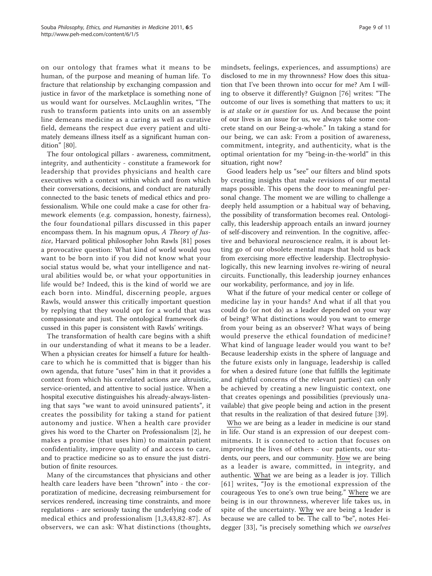on our ontology that frames what it means to be human, of the purpose and meaning of human life. To fracture that relationship by exchanging compassion and justice in favor of the marketplace is something none of us would want for ourselves. McLaughlin writes, "The rush to transform patients into units on an assembly line demeans medicine as a caring as well as curative field, demeans the respect due every patient and ultimately demeans illness itself as a significant human condition" [[80](#page-10-0)].

The four ontological pillars - awareness, commitment, integrity, and authenticity - constitute a framework for leadership that provides physicians and health care executives with a context within which and from which their conversations, decisions, and conduct are naturally connected to the basic tenets of medical ethics and professionalism. While one could make a case for other framework elements (e.g. compassion, honesty, fairness), the four foundational pillars discussed in this paper encompass them. In his magnum opus, A Theory of Justice, Harvard political philosopher John Rawls [\[81\]](#page-10-0) poses a provocative question: What kind of world would you want to be born into if you did not know what your social status would be, what your intelligence and natural abilities would be, or what your opportunities in life would be? Indeed, this is the kind of world we are each born into. Mindful, discerning people, argues Rawls, would answer this critically important question by replying that they would opt for a world that was compassionate and just. The ontological framework discussed in this paper is consistent with Rawls' writings.

The transformation of health care begins with a shift in our understanding of what it means to be a leader. When a physician creates for himself a future for healthcare to which he is committed that is bigger than his own agenda, that future "uses" him in that it provides a context from which his correlated actions are altruistic, service-oriented, and attentive to social justice. When a hospital executive distinguishes his already-always-listening that says "we want to avoid uninsured patients", it creates the possibility for taking a stand for patient autonomy and justice. When a health care provider gives his word to the Charter on Professionalism [\[2\]](#page-9-0), he makes a promise (that uses him) to maintain patient confidentiality, improve quality of and access to care, and to practice medicine so as to ensure the just distribution of finite resources.

Many of the circumstances that physicians and other health care leaders have been "thrown" into - the corporatization of medicine, decreasing reimbursement for services rendered, increasing time constraints, and more regulations - are seriously taxing the underlying code of medical ethics and professionalism [[1](#page-9-0),[3](#page-9-0),[43](#page-9-0)[,82-87](#page-10-0)]. As observers, we can ask: What distinctions (thoughts, mindsets, feelings, experiences, and assumptions) are disclosed to me in my thrownness? How does this situation that I've been thrown into occur for me? Am I willing to observe it differently? Guignon [[76\]](#page-10-0) writes: "The outcome of our lives is something that matters to us; it is *at stake* or *in question* for us. And because the point of our lives is an issue for us, we always take some concrete stand on our Being-a-whole." In taking a stand for our being, we can ask: From a position of awareness, commitment, integrity, and authenticity, what is the optimal orientation for my "being-in-the-world" in this situation, right now?

Good leaders help us "see" our filters and blind spots by creating insights that make revisions of our mental maps possible. This opens the door to meaningful personal change. The moment we are willing to challenge a deeply held assumption or a habitual way of behaving, the possibility of transformation becomes real. Ontologically, this leadership approach entails an inward journey of self-discovery and reinvention. In the cognitive, affective and behavioral neuroscience realm, it is about letting go of our obsolete mental maps that hold us back from exercising more effective leadership. Electrophysiologically, this new learning involves re-wiring of neural circuits. Functionally, this leadership journey enhances our workability, performance, and joy in life.

What if the future of your medical center or college of medicine lay in your hands? And what if all that you could do (or not do) as a leader depended on your way of being? What distinctions would you want to emerge from your being as an observer? What ways of being would preserve the ethical foundation of medicine? What kind of language leader would you want to be? Because leadership exists in the sphere of language and the future exists only in language, leadership is called for when a desired future (one that fulfills the legitimate and rightful concerns of the relevant parties) can only be achieved by creating a new linguistic context, one that creates openings and possibilities (previously unavailable) that give people being and action in the present that results in the realization of that desired future [\[39](#page-9-0)].

Who we are being as a leader in medicine is our stand in life. Our stand is an expression of our deepest commitments. It is connected to action that focuses on improving the lives of others - our patients, our students, our peers, and our community. How we are being as a leader is aware, committed, in integrity, and authentic. What we are being as a leader is joy. Tillich [[61](#page-10-0)] writes, "Joy is the emotional expression of the courageous Yes to one's own true being." Where we are being is in our thrownness, wherever life takes us, in spite of the uncertainty. Why we are being a leader is because we are called to be. The call to "be", notes Heidegger [\[33](#page-9-0)], "is precisely something which we ourselves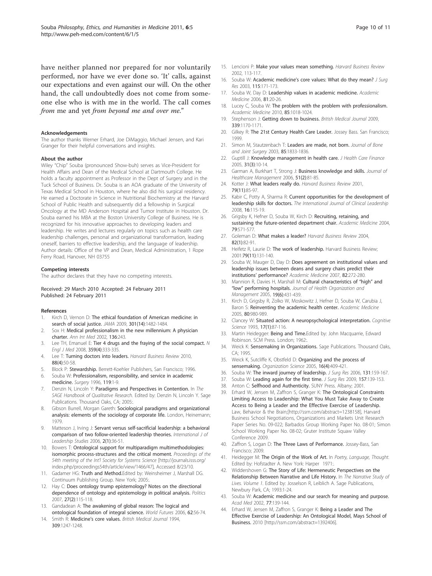<span id="page-9-0"></span>have neither planned nor prepared for nor voluntarily performed, nor have we ever done so. 'It' calls, against our expectations and even against our will. On the other hand, the call undoubtedly does not come from someone else who is with me in the world. The call comes from me and yet from beyond me and over me."

#### Acknowledgements

The author thanks Werner Erhard, Joe DiMaggio, Michael Jensen, and Kari Granger for their helpful conversations and insights.

#### About the author

Wiley "Chip" Souba (pronounced Show-buh) serves as Vice-President for Health Affairs and Dean of the Medical School at Dartmouth College. He holds a faculty appointment as Professor in the Dept of Surgery and in the Tuck School of Business. Dr. Souba is an AOA graduate of the University of Texas Medical School in Houston, where he also did his surgical residency. He earned a Doctorate in Science in Nutritional Biochemistry at the Harvard School of Public Health and subsequently did a fellowship in Surgical Oncology at the MD Anderson Hospital and Tumor Institute in Houston. Dr. Souba earned his MBA at the Boston University College of Business. He is recognized for his innovative approaches to developing leaders and leadership. He writes and lectures regularly on topics such as health care leadership challenges, personal and organizational transformation, leading oneself, barriers to effective leadership, and the language of leadership. Author details: Office of the VP and Dean, Medical Administration, 1 Rope Ferry Road, Hanover, NH 03755

#### Competing interests

The author declares that they have no competing interests.

Received: 29 March 2010 Accepted: 24 February 2011 Published: 24 February 2011

#### References

- 1. Kirch D, Vernon D: [The ethical foundation of American medicine: in](http://www.ncbi.nlm.nih.gov/pubmed/19351948?dopt=Abstract) [search of social justice.](http://www.ncbi.nlm.nih.gov/pubmed/19351948?dopt=Abstract) JAMA 2009, 301(14):1482-1484.
- 2. Sox H: [Medical professionalism in the new millennium: A physician](http://www.ncbi.nlm.nih.gov/pubmed/11827500?dopt=Abstract) [charter.](http://www.ncbi.nlm.nih.gov/pubmed/11827500?dopt=Abstract) Ann Int Med 2002, 136:243.
- Lee TH, Emanuel E: [Tier 4 drugs and the fraying of the social compact.](http://www.ncbi.nlm.nih.gov/pubmed/18650510?dopt=Abstract) N Engl J Med 2008, 359(4):333-335.
- 4. Lee T: [Turning doctors into leaders.](http://www.ncbi.nlm.nih.gov/pubmed/20402055?dopt=Abstract) Harvard Business Review 2010, 88(4):50-58.
- 5. Block P: Stewardship. Berrett-Koehler Publishers, San Francisco; 1996. 6. Souba W: [Professionalism, responsibility, and service in academic](http://www.ncbi.nlm.nih.gov/pubmed/8560372?dopt=Abstract) [medicine.](http://www.ncbi.nlm.nih.gov/pubmed/8560372?dopt=Abstract) Surgery 1996, 119:1-9.
- 7. Denzin N, Lincoln Y: Paradigms and Perspectives in Contention. In The SAGE Handbook of Qualitative Research. Edited by: Denzin N, Lincoln Y. Sage Publications. Thousand Oaks, CA; 2005:.
- 8. Gibson Burrell, Morgan Gareth: Sociological paradigms and organizational analysis: elements of the sociology of corporate life. London, Heinemann; 1979.
- Matteson J, Irving J: Servant versus self-sacrificial leadership: a behavioral comparison of two follow-oriented leadership theories. International J of Leadership Studies 2006, 2(1):36-51.
- 10. Bowers T: Ontological support for multiparadigm multimethodologies: isomorphic process-structures and the critical moment. Proceedings of the 54th meeting of the Int'l Society for Systems Science [[http://journals.isss.org/](http://journals.isss.org/index.php/proceedings54th/article/view/1466/47) [index.php/proceedings54th/article/view/1466/47](http://journals.isss.org/index.php/proceedings54th/article/view/1466/47)], Accessed 8/23/10.
- 11. Gadamer HG: Truth and Method.Edited by: Weinsheimer J, Marshall DG. Continuum Publishing Group. New York; 2005:.
- 12. Hay C: Does ontology trump epistemology? Notes on the directional dependence of ontology and epistemology in political analysis. Politics 2007, 27(2):115-118.
- 13. Gandadean A: The awakening of global reason: The logical and ontological foundation of integral science. World Futures 2006, 62:56-74.
- 14. Smith R: Medicine'[s core values.](http://www.ncbi.nlm.nih.gov/pubmed/7888834?dopt=Abstract) British Medical Journal 1994, 309:1247-1248.
- 15. Lencioni P: [Make your values mean something.](http://www.ncbi.nlm.nih.gov/pubmed/12140851?dopt=Abstract) Harvard Business Review 2002, 113-117.
- 16. Souba W: Academic medicine'[s core values: What do they mean?](http://www.ncbi.nlm.nih.gov/pubmed/14697280?dopt=Abstract) J Surg Res 2003, 115:171-173.
- 17. Souba W, Day D: [Leadership values in academic medicine.](http://www.ncbi.nlm.nih.gov/pubmed/16377814?dopt=Abstract) Academic Medicine 2006, 81:20-26.
- 18. Lucey C, Souba W: [The problem with the problem with professionalism.](http://www.ncbi.nlm.nih.gov/pubmed/20505405?dopt=Abstract) Academic Medicine 2010, 85:1018-1024.
- 19. Stephenson J: Getting down to business. British Medical Journal 2009, 339:1170-1171.
- 20. Gilkey R: The 21st Century Health Care Leader. Jossey Bass. San Francisco; 1999.
- 21. Simon M, Stautzenbach T: [Leaders are made, not born.](http://www.ncbi.nlm.nih.gov/pubmed/12954848?dopt=Abstract) Journal of Bone and Joint Surgery 2003, 85:1833-1836.
- 22. Guptill J: [Knowledge management in health care.](http://www.ncbi.nlm.nih.gov/pubmed/16080410?dopt=Abstract) J Health Care Finance 2005, 31(3):10-14.
- 23. Garman A, Burkhart T, Strong J: [Business knowledge and skills.](http://www.ncbi.nlm.nih.gov/pubmed/16605218?dopt=Abstract) Journal of Healthcare Management 2006, 51(2):81-85.
- 24. Kotter J: What leaders really do. Harvard Business Review 2001, 79(11):85-97.
- 25. Kabir C, Potty A, Sharma R: Current opportunities for the development of leadership skills for doctors. The International Journal of Clinical Leadership 2008, 16:115-19.
- 26. Grigsby K, Hefner D, Souba W, Kirch D: [Recruiting, retaining, and](http://www.ncbi.nlm.nih.gov/pubmed/15165977?dopt=Abstract) [sustaining the future-oriented department chair.](http://www.ncbi.nlm.nih.gov/pubmed/15165977?dopt=Abstract) Academic Medicine 2004, 79:571-577.
- 27. Goleman D: What makes a leader? Harvard Business Review 2004, 82(1):82-91.
- 28. Heifetz R, Laurie D: The work of leadership. Harvard Business Review; 2001:79(11):131-140.
- 29. Souba W, Mauger D, Day D: [Does agreement on institutional values and](http://www.ncbi.nlm.nih.gov/pubmed/17327717?dopt=Abstract) [leadership issues between deans and surgery chairs predict their](http://www.ncbi.nlm.nih.gov/pubmed/17327717?dopt=Abstract) institutions' [performance?](http://www.ncbi.nlm.nih.gov/pubmed/17327717?dopt=Abstract) Academic Medicine 2007, 82:272-280.
- 30. Mannion R, Davies H, Marshall M: [Cultural characteristics of](http://www.ncbi.nlm.nih.gov/pubmed/16375066?dopt=Abstract) "high" and "low" [performing hospitals.](http://www.ncbi.nlm.nih.gov/pubmed/16375066?dopt=Abstract) Journal of Health Organization and Management 2005, 19(6):431-439.
- 31. Kirch D, Grigsby R, Zolko W, Moskowitz J, Hefner D, Souba W, Carubia J, Baron S: [Reinventing the academic health center.](http://www.ncbi.nlm.nih.gov/pubmed/16249294?dopt=Abstract) Academic Medicine 2005, 80:980-989.
- 32. Clancey W: Situated action: A neuropsychological interpretation. Cognitive Science 1993, 17(1):87-116.
- 33. Martin Heidegger: Being and Time.Edited by: John Macquarrie, Edward Robinson. SCM Press. London; 1962:.
- 34. Weick K: Sensemaking in Organizations. Sage Publications. Thousand Oaks, CA; 1995.
- 35. Weick K, Sutcliffe K, Obstfeld D: Organizing and the process of sensemaking. Organization Science 2005, 16(4):409-421.
- 36. Souba W: [The inward journey of leadership.](http://www.ncbi.nlm.nih.gov/pubmed/16533626?dopt=Abstract) J Surg Res 2006, 131:159-167.
- 37. Souba W: [Leading again for the first time.](http://www.ncbi.nlm.nih.gov/pubmed/19944793?dopt=Abstract) J Surg Res 2009, 157:139-153.
- 38. Anton C: Selfhood and Authenticity. SUNY Press. Albany; 2001.
- 39. Erhard W, Jensen M, Zaffron S, Granger K: The Ontological Constraints Limiting Access to Leadership: What You Must Take Away to Create Access to Being a Leader and the Effective Exercise of Leadership. Law, Behavior & the Brain;[<http://ssrn.com/abstract=1238158>], Harvard Business School Negotiations, Organizations and Markets Unit Research Paper Series No. 09-022; Barbados Group Working Paper No. 08-01; Simon School Working Paper No. 08-02; Gruter Institute Squaw Valley Conference 2009.
- 40. Zaffron S, Logan D: The Three Laws of Performance. Jossey-Bass, San Francisco; 2009.
- 41. Heidegger M: The Origin of the Work of Art. In Poetry, Language, Thought. Edited by: Hofstadter A. New York: Harper 1971:.
- 42. Widdershoven G: The Story of Life: Hermeneutic Perspectives on the Relationship Between Narrative and Life History. In The Narrative Study of Lives. Volume 1. Edited by: Josselson R, Leiblich A. Sage Publications, Newbury Park, CA; 1993:1-24.
- 43. Souba W: [Academic medicine and our search for meaning and purpose.](http://www.ncbi.nlm.nih.gov/pubmed/11841973?dopt=Abstract) Acad Med 2002, 77:139-144.
- 44. Erhard W, Jensen M, Zaffron S, Granger K: Being a Leader and The Effective Exercise of Leadership: An Ontological Model, Mays School of Business. 2010 [\[http://ssrn.com/abstract=1392406\]](http://ssrn.com/abstract=1392406).